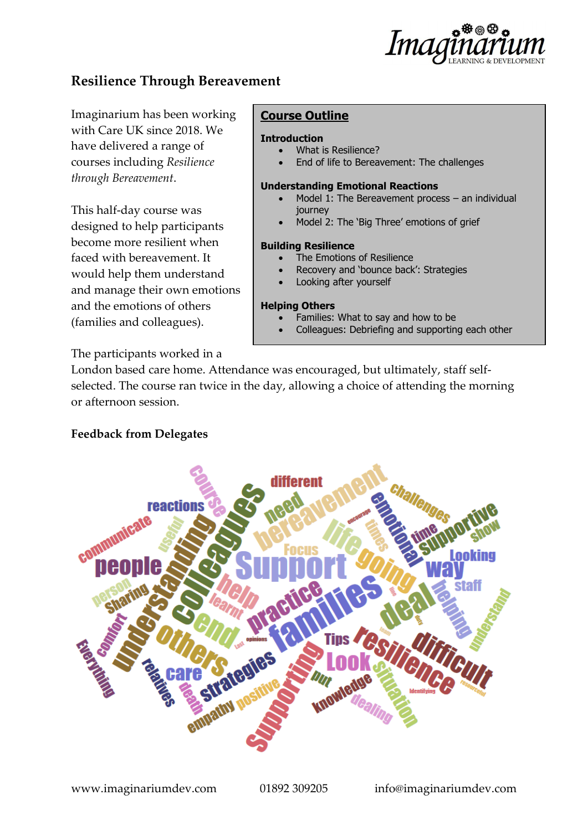

# **Resilience Through Bereavement**

Imaginarium has been working with Care UK since 2018. We have delivered a range of courses including *Resilience through Bereavement*.

This half-day course was designed to help participants become more resilient when faced with bereavement. It would help them understand and manage their own emotions and the emotions of others (families and colleagues).

The participants worked in a

## **Course Outline**

#### **Introduction**

- What is Resilience?
	- End of life to Bereavement: The challenges

#### **Understanding Emotional Reactions**

- Model 1: The Bereavement process  $-$  an individual journey
- Model 2: The 'Big Three' emotions of grief

#### **Building Resilience**

- The Emotions of Resilience
- Recovery and 'bounce back': Strategies
- Looking after yourself

#### **Helping Others**

- Families: What to say and how to be
- Colleagues: Debriefing and supporting each other

London based care home. Attendance was encouraged, but ultimately, staff selfselected. The course ran twice in the day, allowing a choice of attending the morning or afternoon session.

### **Feedback from Delegates**

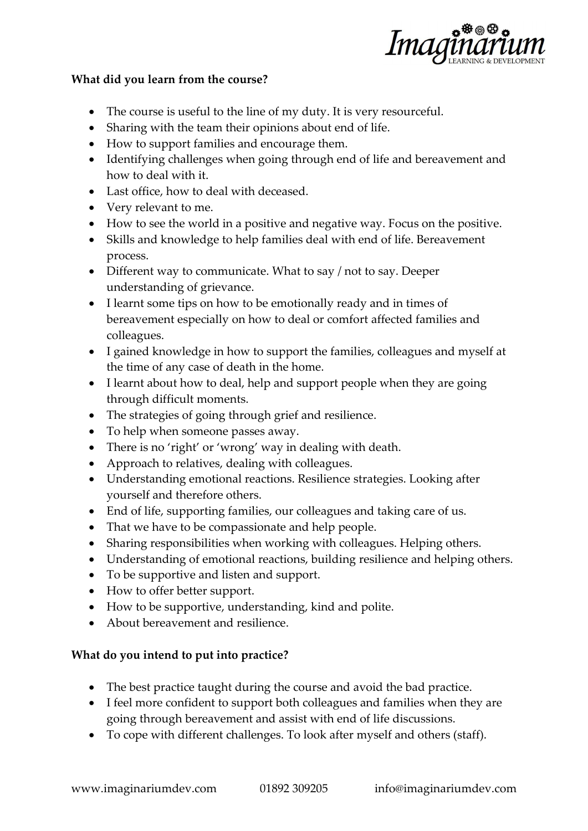

### **What did you learn from the course?**

- The course is useful to the line of my duty. It is very resourceful.
- Sharing with the team their opinions about end of life.
- How to support families and encourage them.
- Identifying challenges when going through end of life and bereavement and how to deal with it.
- Last office, how to deal with deceased.
- Very relevant to me.
- How to see the world in a positive and negative way. Focus on the positive.
- Skills and knowledge to help families deal with end of life. Bereavement process.
- Different way to communicate. What to say / not to say. Deeper understanding of grievance.
- I learnt some tips on how to be emotionally ready and in times of bereavement especially on how to deal or comfort affected families and colleagues.
- I gained knowledge in how to support the families, colleagues and myself at the time of any case of death in the home.
- I learnt about how to deal, help and support people when they are going through difficult moments.
- The strategies of going through grief and resilience.
- To help when someone passes away.
- There is no 'right' or 'wrong' way in dealing with death.
- Approach to relatives, dealing with colleagues.
- Understanding emotional reactions. Resilience strategies. Looking after yourself and therefore others.
- End of life, supporting families, our colleagues and taking care of us.
- That we have to be compassionate and help people.
- Sharing responsibilities when working with colleagues. Helping others.
- Understanding of emotional reactions, building resilience and helping others.
- To be supportive and listen and support.
- How to offer better support.
- How to be supportive, understanding, kind and polite.
- About bereavement and resilience.

## **What do you intend to put into practice?**

- The best practice taught during the course and avoid the bad practice.
- I feel more confident to support both colleagues and families when they are going through bereavement and assist with end of life discussions.
- To cope with different challenges. To look after myself and others (staff).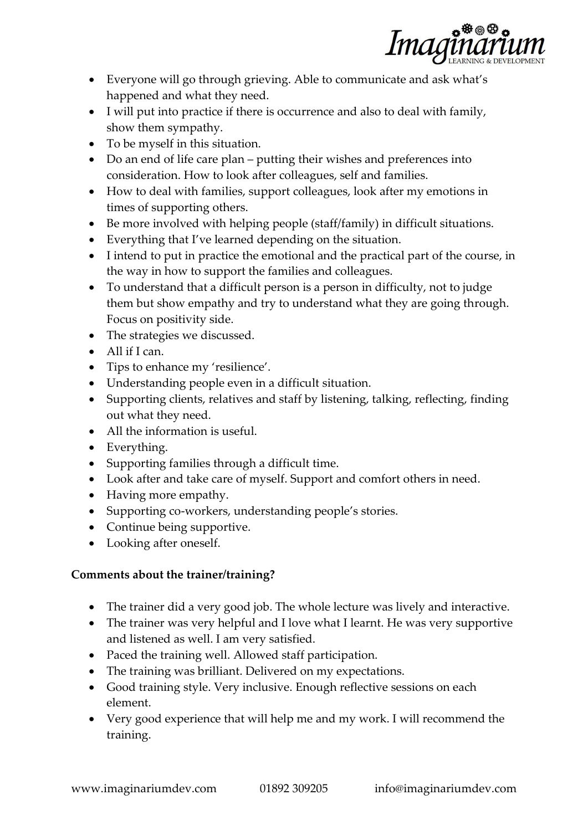

- Everyone will go through grieving. Able to communicate and ask what's happened and what they need.
- I will put into practice if there is occurrence and also to deal with family, show them sympathy.
- To be myself in this situation.
- Do an end of life care plan putting their wishes and preferences into consideration. How to look after colleagues, self and families.
- How to deal with families, support colleagues, look after my emotions in times of supporting others.
- Be more involved with helping people (staff/family) in difficult situations.
- Everything that I've learned depending on the situation.
- I intend to put in practice the emotional and the practical part of the course, in the way in how to support the families and colleagues.
- To understand that a difficult person is a person in difficulty, not to judge them but show empathy and try to understand what they are going through. Focus on positivity side.
- The strategies we discussed.
- All if I can.
- Tips to enhance my 'resilience'.
- Understanding people even in a difficult situation.
- Supporting clients, relatives and staff by listening, talking, reflecting, finding out what they need.
- All the information is useful.
- Everything.
- Supporting families through a difficult time.
- Look after and take care of myself. Support and comfort others in need.
- Having more empathy.
- Supporting co-workers, understanding people's stories.
- Continue being supportive.
- Looking after oneself.

# **Comments about the trainer/training?**

- The trainer did a very good job. The whole lecture was lively and interactive.
- The trainer was very helpful and I love what I learnt. He was very supportive and listened as well. I am very satisfied.
- Paced the training well. Allowed staff participation.
- The training was brilliant. Delivered on my expectations.
- Good training style. Very inclusive. Enough reflective sessions on each element.
- Very good experience that will help me and my work. I will recommend the training.